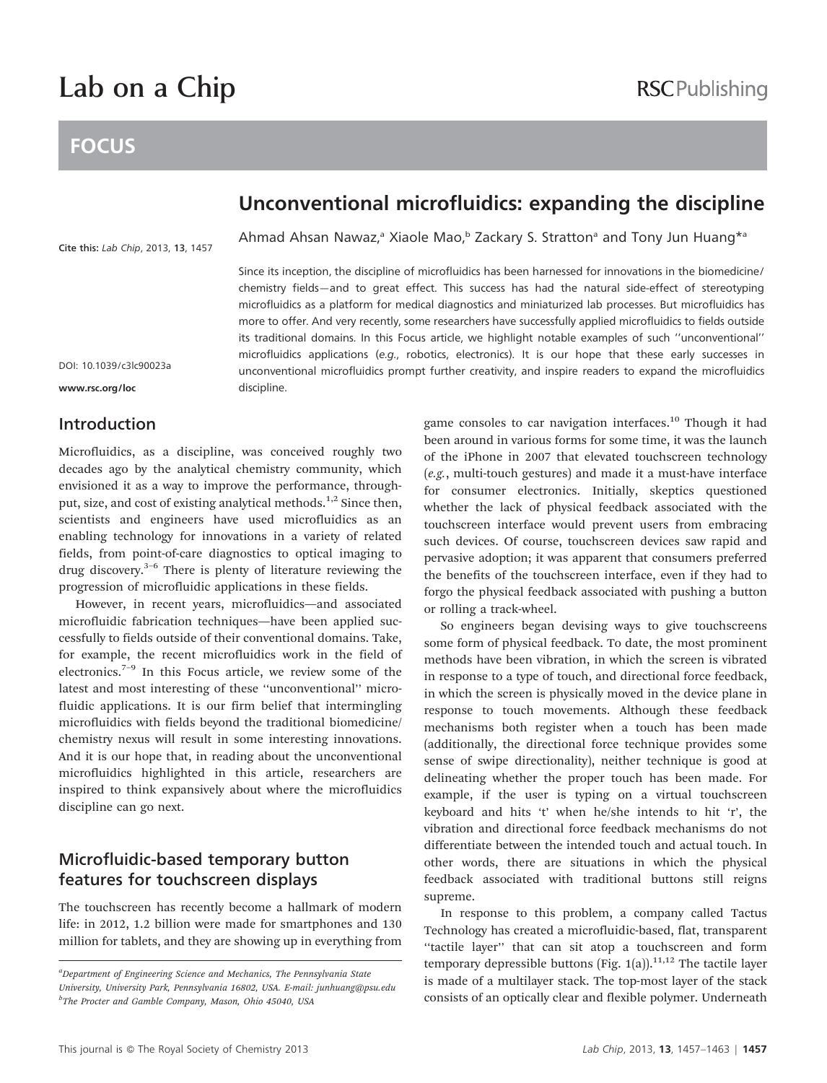# Lab on a Chip

# **FOCUS**

# Unconventional microfluidics: expanding the discipline

[Cite this:](http://dx.doi.org/10.1039/c3lc90023a) Lab Chip, 2013, 13, 1457

Ahmad Ahsan Nawaz,<sup>a</sup> Xiaole Mao,<sup>b</sup> Zackary S. Stratton<sup>a</sup> and Tony Jun Huang<sup>\*a</sup>

Since its inception, the discipline of microfluidics has been harnessed for innovations in the biomedicine/ chemistry fields—and to great effect. This success has had the natural side-effect of stereotyping microfluidics as a platform for medical diagnostics and miniaturized lab processes. But microfluidics has more to offer. And very recently, some researchers have successfully applied microfluidics to fields outside its traditional domains. In this Focus article, we highlight notable examples of such ''unconventional'' microfluidics applications (e.g., robotics, electronics). It is our hope that these early successes in unconventional microfluidics prompt further creativity, and inspire readers to expand the microfluidics discipline.

### Introduction

www.rsc.org/loc

DOI: 10.1039/c3lc90023a

Microfluidics, as a discipline, was conceived roughly two decades ago by the analytical chemistry community, which envisioned it as a way to improve the performance, throughput, size, and cost of existing analytical methods.<sup>1,2</sup> Since then, scientists and engineers have used microfluidics as an enabling technology for innovations in a variety of related fields, from point-of-care diagnostics to optical imaging to drug discovery. $3-6$  There is plenty of literature reviewing the progression of microfluidic applications in these fields.

However, in recent years, microfluidics—and associated microfluidic fabrication techniques—have been applied successfully to fields outside of their conventional domains. Take, for example, the recent microfluidics work in the field of electronics.<sup>7-9</sup> In this Focus article, we review some of the latest and most interesting of these ''unconventional'' microfluidic applications. It is our firm belief that intermingling microfluidics with fields beyond the traditional biomedicine/ chemistry nexus will result in some interesting innovations. And it is our hope that, in reading about the unconventional microfluidics highlighted in this article, researchers are inspired to think expansively about where the microfluidics discipline can go next.

# Microfluidic-based temporary button features for touchscreen displays

The touchscreen has recently become a hallmark of modern life: in 2012, 1.2 billion were made for smartphones and 130 million for tablets, and they are showing up in everything from game consoles to car navigation interfaces.10 Though it had been around in various forms for some time, it was the launch of the iPhone in 2007 that elevated touchscreen technology (e.g., multi-touch gestures) and made it a must-have interface for consumer electronics. Initially, skeptics questioned whether the lack of physical feedback associated with the touchscreen interface would prevent users from embracing such devices. Of course, touchscreen devices saw rapid and pervasive adoption; it was apparent that consumers preferred the benefits of the touchscreen interface, even if they had to forgo the physical feedback associated with pushing a button or rolling a track-wheel.

So engineers began devising ways to give touchscreens some form of physical feedback. To date, the most prominent methods have been vibration, in which the screen is vibrated in response to a type of touch, and directional force feedback, in which the screen is physically moved in the device plane in response to touch movements. Although these feedback mechanisms both register when a touch has been made (additionally, the directional force technique provides some sense of swipe directionality), neither technique is good at delineating whether the proper touch has been made. For example, if the user is typing on a virtual touchscreen keyboard and hits 't' when he/she intends to hit 'r', the vibration and directional force feedback mechanisms do not differentiate between the intended touch and actual touch. In other words, there are situations in which the physical feedback associated with traditional buttons still reigns supreme.

In response to this problem, a company called Tactus Technology has created a microfluidic-based, flat, transparent "tactile layer" that can sit atop a touchscreen and form temporary depressible buttons (Fig. 1(a)).<sup>11,12</sup> The tactile layer is made of a multilayer stack. The top-most layer of the stack consists of an optically clear and flexible polymer. Underneath

<sup>&</sup>lt;sup>a</sup>Department of Engineering Science and Mechanics, The Pennsylvania State University, University Park, Pennsylvania 16802, USA. E-mail: junhuang@psu.edu <sup>b</sup>The Procter and Gamble Company, Mason, Ohio 45040, USA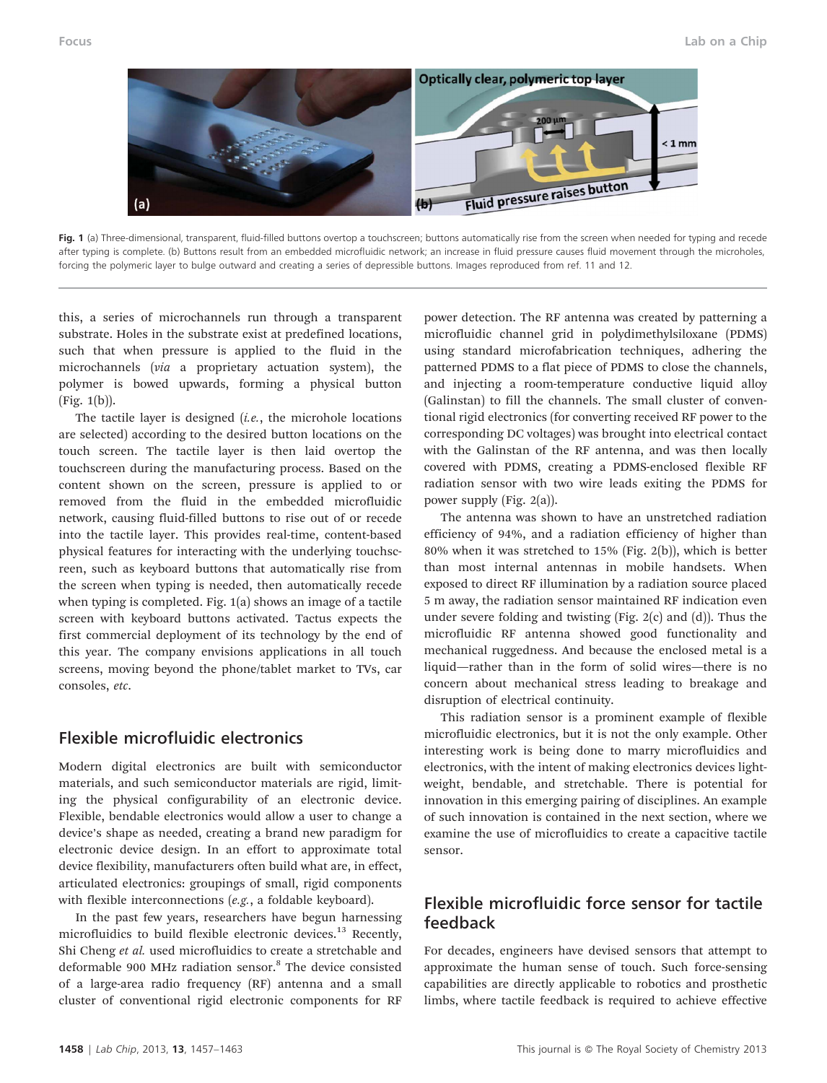

Fig. 1 (a) Three-dimensional, transparent, fluid-filled buttons overtop a touchscreen; buttons automatically rise from the screen when needed for typing and recede after typing is complete. (b) Buttons result from an embedded microfluidic network; an increase in fluid pressure causes fluid movement through the microholes, forcing the polymeric layer to bulge outward and creating a series of depressible buttons. Images reproduced from ref. 11 and 12.

this, a series of microchannels run through a transparent substrate. Holes in the substrate exist at predefined locations, such that when pressure is applied to the fluid in the microchannels (via a proprietary actuation system), the polymer is bowed upwards, forming a physical button (Fig. 1(b)).

The tactile layer is designed  $(i.e.,$  the microhole locations are selected) according to the desired button locations on the touch screen. The tactile layer is then laid overtop the touchscreen during the manufacturing process. Based on the content shown on the screen, pressure is applied to or removed from the fluid in the embedded microfluidic network, causing fluid-filled buttons to rise out of or recede into the tactile layer. This provides real-time, content-based physical features for interacting with the underlying touchscreen, such as keyboard buttons that automatically rise from the screen when typing is needed, then automatically recede when typing is completed. Fig. 1(a) shows an image of a tactile screen with keyboard buttons activated. Tactus expects the first commercial deployment of its technology by the end of this year. The company envisions applications in all touch screens, moving beyond the phone/tablet market to TVs, car consoles, etc.

#### Flexible microfluidic electronics

Modern digital electronics are built with semiconductor materials, and such semiconductor materials are rigid, limiting the physical configurability of an electronic device. Flexible, bendable electronics would allow a user to change a device's shape as needed, creating a brand new paradigm for electronic device design. In an effort to approximate total device flexibility, manufacturers often build what are, in effect, articulated electronics: groupings of small, rigid components with flexible interconnections (e.g., a foldable keyboard).

In the past few years, researchers have begun harnessing microfluidics to build flexible electronic devices.<sup>13</sup> Recently, Shi Cheng et al. used microfluidics to create a stretchable and deformable 900 MHz radiation sensor.<sup>8</sup> The device consisted of a large-area radio frequency (RF) antenna and a small cluster of conventional rigid electronic components for RF power detection. The RF antenna was created by patterning a microfluidic channel grid in polydimethylsiloxane (PDMS) using standard microfabrication techniques, adhering the patterned PDMS to a flat piece of PDMS to close the channels, and injecting a room-temperature conductive liquid alloy (Galinstan) to fill the channels. The small cluster of conventional rigid electronics (for converting received RF power to the corresponding DC voltages) was brought into electrical contact with the Galinstan of the RF antenna, and was then locally covered with PDMS, creating a PDMS-enclosed flexible RF radiation sensor with two wire leads exiting the PDMS for power supply (Fig. 2(a)).

The antenna was shown to have an unstretched radiation efficiency of 94%, and a radiation efficiency of higher than 80% when it was stretched to 15% (Fig. 2(b)), which is better than most internal antennas in mobile handsets. When exposed to direct RF illumination by a radiation source placed 5 m away, the radiation sensor maintained RF indication even under severe folding and twisting (Fig. 2(c) and (d)). Thus the microfluidic RF antenna showed good functionality and mechanical ruggedness. And because the enclosed metal is a liquid—rather than in the form of solid wires—there is no concern about mechanical stress leading to breakage and disruption of electrical continuity.

This radiation sensor is a prominent example of flexible microfluidic electronics, but it is not the only example. Other interesting work is being done to marry microfluidics and electronics, with the intent of making electronics devices lightweight, bendable, and stretchable. There is potential for innovation in this emerging pairing of disciplines. An example of such innovation is contained in the next section, where we examine the use of microfluidics to create a capacitive tactile sensor.

## Flexible microfluidic force sensor for tactile feedback

For decades, engineers have devised sensors that attempt to approximate the human sense of touch. Such force-sensing capabilities are directly applicable to robotics and prosthetic limbs, where tactile feedback is required to achieve effective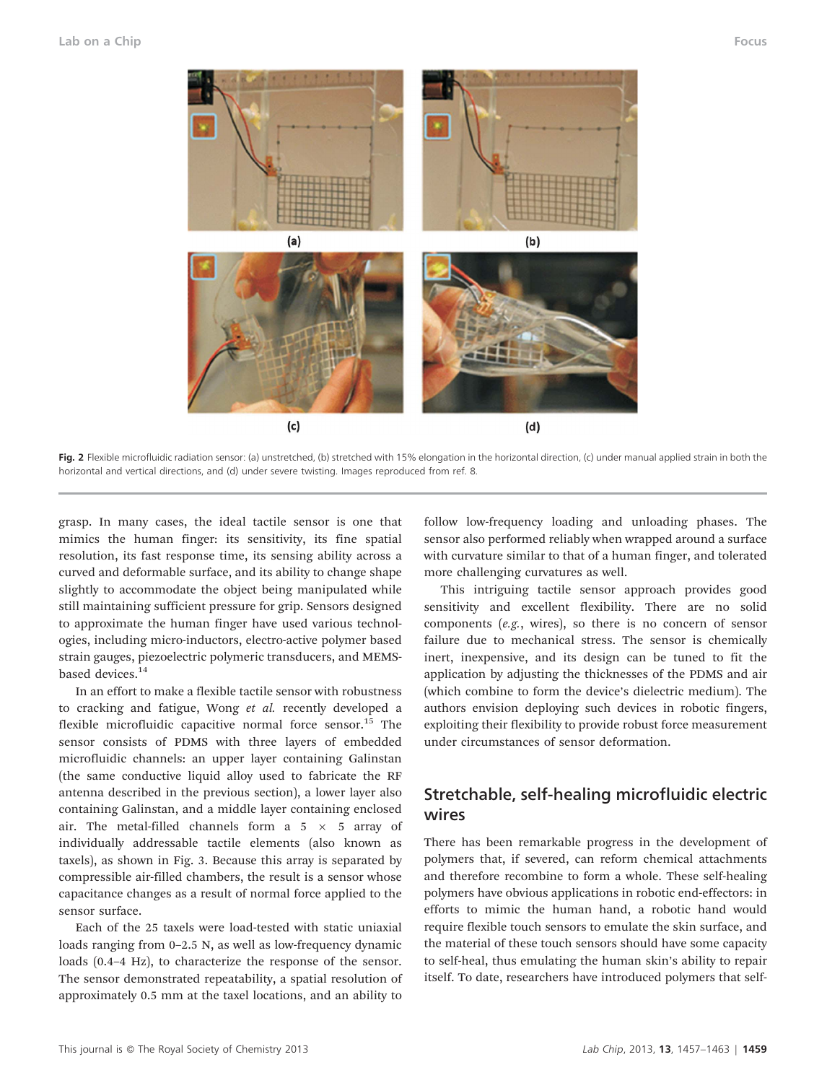

Fig. 2 Flexible microfluidic radiation sensor: (a) unstretched, (b) stretched with 15% elongation in the horizontal direction, (c) under manual applied strain in both the horizontal and vertical directions, and (d) under severe twisting. Images reproduced from ref. 8.

grasp. In many cases, the ideal tactile sensor is one that mimics the human finger: its sensitivity, its fine spatial resolution, its fast response time, its sensing ability across a curved and deformable surface, and its ability to change shape slightly to accommodate the object being manipulated while still maintaining sufficient pressure for grip. Sensors designed to approximate the human finger have used various technologies, including micro-inductors, electro-active polymer based strain gauges, piezoelectric polymeric transducers, and MEMSbased devices.<sup>14</sup>

In an effort to make a flexible tactile sensor with robustness to cracking and fatigue, Wong et al. recently developed a flexible microfluidic capacitive normal force sensor.<sup>15</sup> The sensor consists of PDMS with three layers of embedded microfluidic channels: an upper layer containing Galinstan (the same conductive liquid alloy used to fabricate the RF antenna described in the previous section), a lower layer also containing Galinstan, and a middle layer containing enclosed air. The metal-filled channels form a 5  $\times$  5 array of individually addressable tactile elements (also known as taxels), as shown in Fig. 3. Because this array is separated by compressible air-filled chambers, the result is a sensor whose capacitance changes as a result of normal force applied to the sensor surface.

Each of the 25 taxels were load-tested with static uniaxial loads ranging from 0–2.5 N, as well as low-frequency dynamic loads (0.4–4 Hz), to characterize the response of the sensor. The sensor demonstrated repeatability, a spatial resolution of approximately 0.5 mm at the taxel locations, and an ability to

follow low-frequency loading and unloading phases. The sensor also performed reliably when wrapped around a surface with curvature similar to that of a human finger, and tolerated more challenging curvatures as well.

This intriguing tactile sensor approach provides good sensitivity and excellent flexibility. There are no solid components (e.g., wires), so there is no concern of sensor failure due to mechanical stress. The sensor is chemically inert, inexpensive, and its design can be tuned to fit the application by adjusting the thicknesses of the PDMS and air (which combine to form the device's dielectric medium). The authors envision deploying such devices in robotic fingers, exploiting their flexibility to provide robust force measurement under circumstances of sensor deformation.

### Stretchable, self-healing microfluidic electric wires

There has been remarkable progress in the development of polymers that, if severed, can reform chemical attachments and therefore recombine to form a whole. These self-healing polymers have obvious applications in robotic end-effectors: in efforts to mimic the human hand, a robotic hand would require flexible touch sensors to emulate the skin surface, and the material of these touch sensors should have some capacity to self-heal, thus emulating the human skin's ability to repair itself. To date, researchers have introduced polymers that self-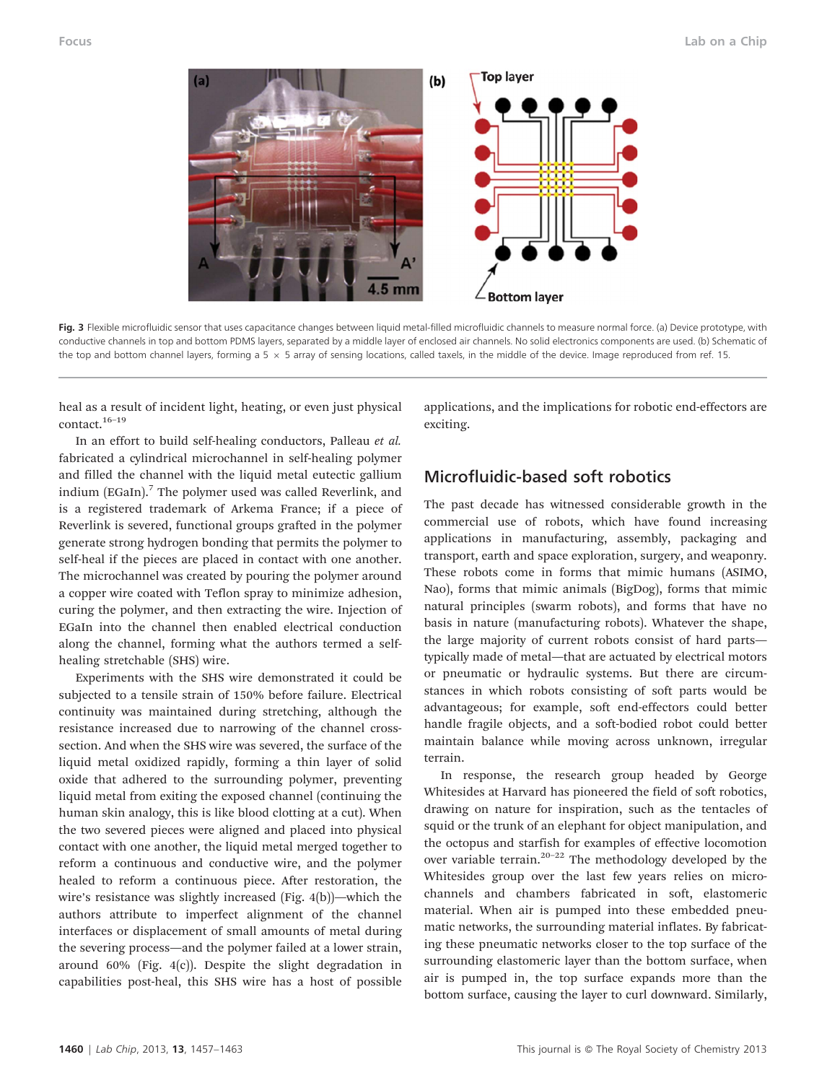

Fig. 3 Flexible microfluidic sensor that uses capacitance changes between liquid metal-filled microfluidic channels to measure normal force. (a) Device prototype, with conductive channels in top and bottom PDMS layers, separated by a middle layer of enclosed air channels. No solid electronics components are used. (b) Schematic of the top and bottom channel layers, forming a 5  $\times$  5 array of sensing locations, called taxels, in the middle of the device. Image reproduced from ref. 15.

heal as a result of incident light, heating, or even just physical contact.16–19

In an effort to build self-healing conductors, Palleau et al. fabricated a cylindrical microchannel in self-healing polymer and filled the channel with the liquid metal eutectic gallium indium (EGaIn).<sup>7</sup> The polymer used was called Reverlink, and is a registered trademark of Arkema France; if a piece of Reverlink is severed, functional groups grafted in the polymer generate strong hydrogen bonding that permits the polymer to self-heal if the pieces are placed in contact with one another. The microchannel was created by pouring the polymer around a copper wire coated with Teflon spray to minimize adhesion, curing the polymer, and then extracting the wire. Injection of EGaIn into the channel then enabled electrical conduction along the channel, forming what the authors termed a selfhealing stretchable (SHS) wire.

Experiments with the SHS wire demonstrated it could be subjected to a tensile strain of 150% before failure. Electrical continuity was maintained during stretching, although the resistance increased due to narrowing of the channel crosssection. And when the SHS wire was severed, the surface of the liquid metal oxidized rapidly, forming a thin layer of solid oxide that adhered to the surrounding polymer, preventing liquid metal from exiting the exposed channel (continuing the human skin analogy, this is like blood clotting at a cut). When the two severed pieces were aligned and placed into physical contact with one another, the liquid metal merged together to reform a continuous and conductive wire, and the polymer healed to reform a continuous piece. After restoration, the wire's resistance was slightly increased (Fig. 4(b))—which the authors attribute to imperfect alignment of the channel interfaces or displacement of small amounts of metal during the severing process—and the polymer failed at a lower strain, around 60% (Fig. 4(c)). Despite the slight degradation in capabilities post-heal, this SHS wire has a host of possible applications, and the implications for robotic end-effectors are exciting.

## Microfluidic-based soft robotics

The past decade has witnessed considerable growth in the commercial use of robots, which have found increasing applications in manufacturing, assembly, packaging and transport, earth and space exploration, surgery, and weaponry. These robots come in forms that mimic humans (ASIMO, Nao), forms that mimic animals (BigDog), forms that mimic natural principles (swarm robots), and forms that have no basis in nature (manufacturing robots). Whatever the shape, the large majority of current robots consist of hard parts typically made of metal—that are actuated by electrical motors or pneumatic or hydraulic systems. But there are circumstances in which robots consisting of soft parts would be advantageous; for example, soft end-effectors could better handle fragile objects, and a soft-bodied robot could better maintain balance while moving across unknown, irregular terrain.

In response, the research group headed by George Whitesides at Harvard has pioneered the field of soft robotics, drawing on nature for inspiration, such as the tentacles of squid or the trunk of an elephant for object manipulation, and the octopus and starfish for examples of effective locomotion over variable terrain.20–22 The methodology developed by the Whitesides group over the last few years relies on microchannels and chambers fabricated in soft, elastomeric material. When air is pumped into these embedded pneumatic networks, the surrounding material inflates. By fabricating these pneumatic networks closer to the top surface of the surrounding elastomeric layer than the bottom surface, when air is pumped in, the top surface expands more than the bottom surface, causing the layer to curl downward. Similarly,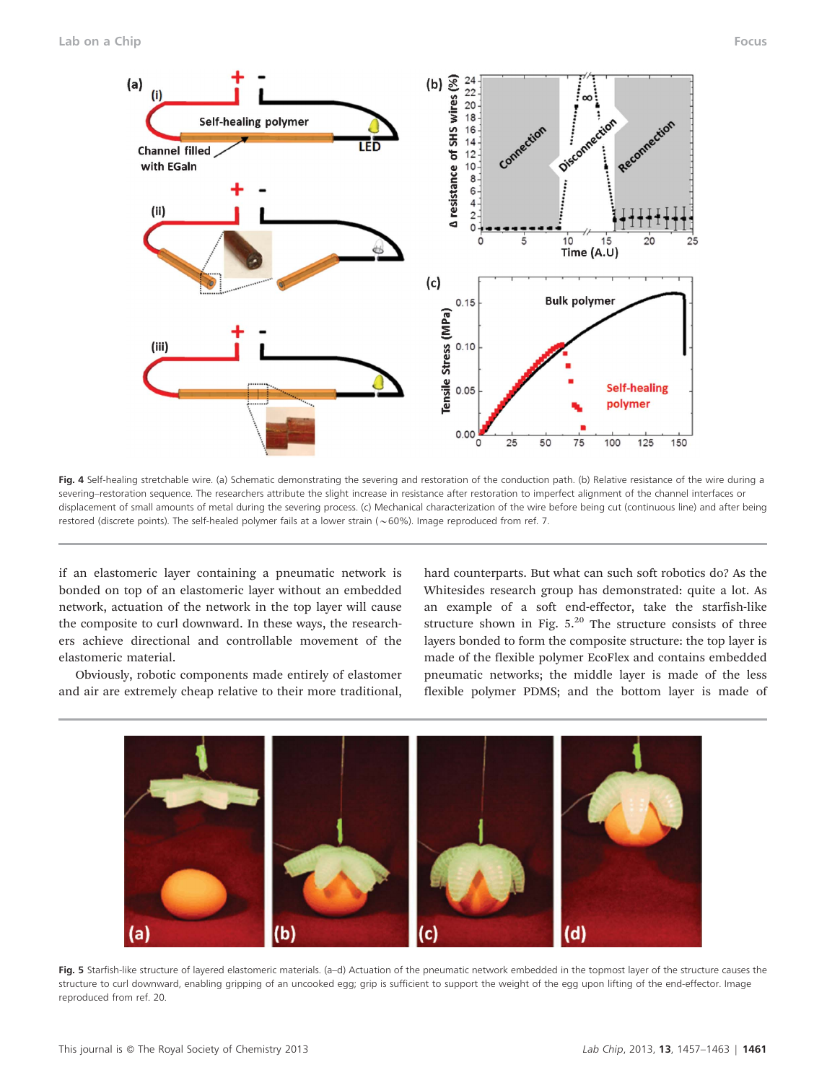

Fig. 4 Self-healing stretchable wire. (a) Schematic demonstrating the severing and restoration of the conduction path. (b) Relative resistance of the wire during a severing–restoration sequence. The researchers attribute the slight increase in resistance after restoration to imperfect alignment of the channel interfaces or displacement of small amounts of metal during the severing process. (c) Mechanical characterization of the wire before being cut (continuous line) and after being restored (discrete points). The self-healed polymer fails at a lower strain ( $\sim$  60%). Image reproduced from ref. 7.

if an elastomeric layer containing a pneumatic network is bonded on top of an elastomeric layer without an embedded network, actuation of the network in the top layer will cause the composite to curl downward. In these ways, the researchers achieve directional and controllable movement of the elastomeric material.

Obviously, robotic components made entirely of elastomer and air are extremely cheap relative to their more traditional, hard counterparts. But what can such soft robotics do? As the Whitesides research group has demonstrated: quite a lot. As an example of a soft end-effector, take the starfish-like structure shown in Fig.  $5.^{20}$  The structure consists of three layers bonded to form the composite structure: the top layer is made of the flexible polymer EcoFlex and contains embedded pneumatic networks; the middle layer is made of the less flexible polymer PDMS; and the bottom layer is made of



Fig. 5 Starfish-like structure of layered elastomeric materials. (a-d) Actuation of the pneumatic network embedded in the topmost layer of the structure causes the structure to curl downward, enabling gripping of an uncooked egg; grip is sufficient to support the weight of the egg upon lifting of the end-effector. Image reproduced from ref. 20.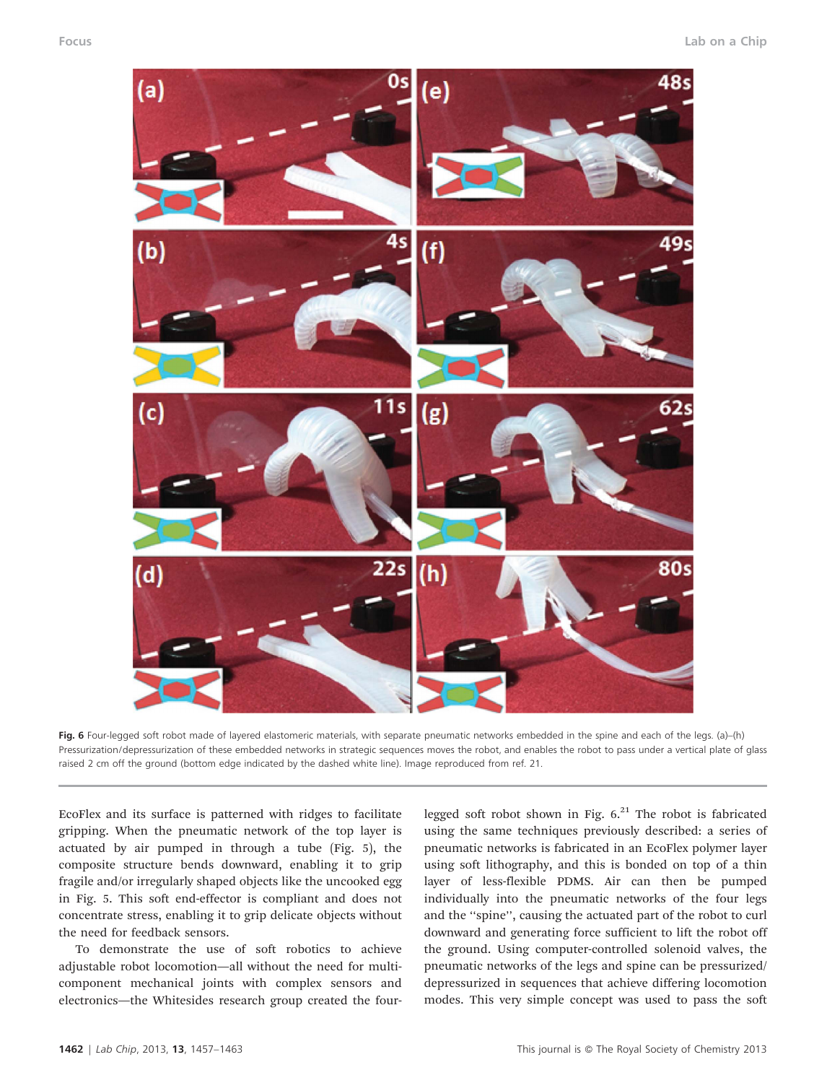

Fig. 6 Four-legged soft robot made of layered elastomeric materials, with separate pneumatic networks embedded in the spine and each of the legs. (a)-(h) Pressurization/depressurization of these embedded networks in strategic sequences moves the robot, and enables the robot to pass under a vertical plate of glass raised 2 cm off the ground (bottom edge indicated by the dashed white line). Image reproduced from ref. 21.

EcoFlex and its surface is patterned with ridges to facilitate gripping. When the pneumatic network of the top layer is actuated by air pumped in through a tube (Fig. 5), the composite structure bends downward, enabling it to grip fragile and/or irregularly shaped objects like the uncooked egg in Fig. 5. This soft end-effector is compliant and does not concentrate stress, enabling it to grip delicate objects without the need for feedback sensors.

To demonstrate the use of soft robotics to achieve adjustable robot locomotion—all without the need for multicomponent mechanical joints with complex sensors and electronics—the Whitesides research group created the fourlegged soft robot shown in Fig.  $6.^{21}$  The robot is fabricated using the same techniques previously described: a series of pneumatic networks is fabricated in an EcoFlex polymer layer using soft lithography, and this is bonded on top of a thin layer of less-flexible PDMS. Air can then be pumped individually into the pneumatic networks of the four legs and the ''spine'', causing the actuated part of the robot to curl downward and generating force sufficient to lift the robot off the ground. Using computer-controlled solenoid valves, the pneumatic networks of the legs and spine can be pressurized/ depressurized in sequences that achieve differing locomotion modes. This very simple concept was used to pass the soft